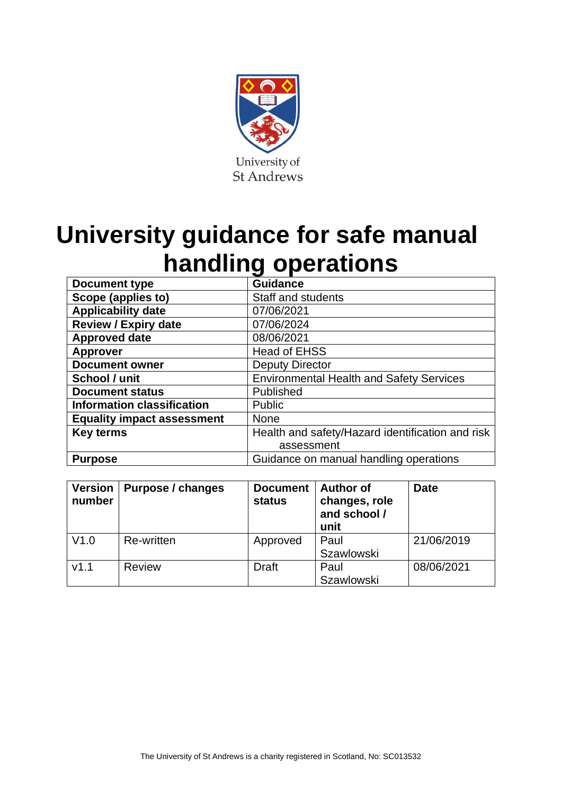

# **University guidance for safe manual handling operations**

| <b>Document type</b>              | <b>Guidance</b>                                  |  |  |
|-----------------------------------|--------------------------------------------------|--|--|
| Scope (applies to)                | <b>Staff and students</b>                        |  |  |
| <b>Applicability date</b>         | 07/06/2021                                       |  |  |
| <b>Review / Expiry date</b>       | 07/06/2024                                       |  |  |
| <b>Approved date</b>              | 08/06/2021                                       |  |  |
| <b>Approver</b>                   | <b>Head of EHSS</b>                              |  |  |
| <b>Document owner</b>             | <b>Deputy Director</b>                           |  |  |
| School / unit                     | <b>Environmental Health and Safety Services</b>  |  |  |
| <b>Document status</b>            | Published                                        |  |  |
| <b>Information classification</b> | Public                                           |  |  |
| <b>Equality impact assessment</b> | <b>None</b>                                      |  |  |
| <b>Key terms</b>                  | Health and safety/Hazard identification and risk |  |  |
|                                   | assessment                                       |  |  |
| <b>Purpose</b>                    | Guidance on manual handling operations           |  |  |

| <b>Version</b><br>number | Purpose / changes | <b>Document</b><br>status | <b>Author of</b><br>changes, role<br>and school /<br>unit | <b>Date</b> |
|--------------------------|-------------------|---------------------------|-----------------------------------------------------------|-------------|
| V1.0                     | Re-written        | Approved                  | Paul                                                      | 21/06/2019  |
|                          |                   |                           | <b>Szawlowski</b>                                         |             |
| V1.1                     | <b>Review</b>     | <b>Draft</b>              | Paul                                                      | 08/06/2021  |
|                          |                   |                           | <b>Szawlowski</b>                                         |             |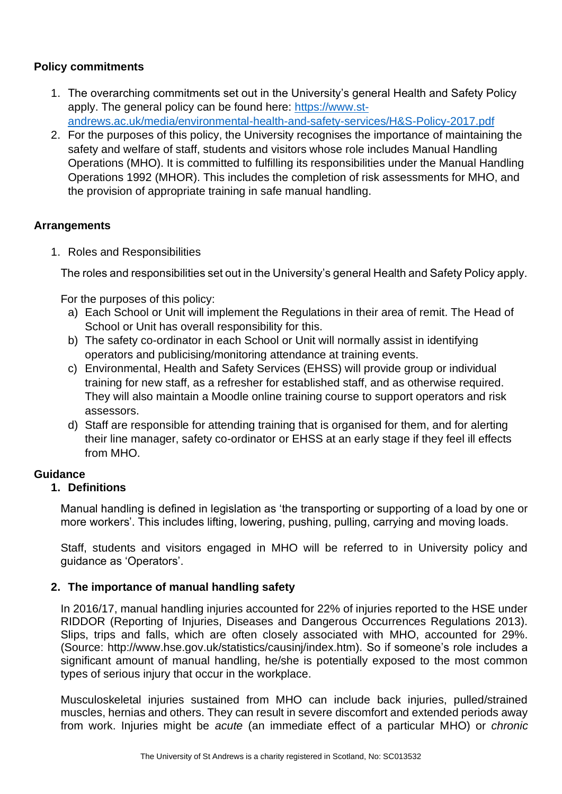## **Policy commitments**

- 1. The overarching commitments set out in the University's general Health and Safety Policy apply. The general policy can be found here: [https://www.st](https://www.st-andrews.ac.uk/media/environmental-health-and-safety-services/H&S-Policy-2017.pdf)[andrews.ac.uk/media/environmental-health-and-safety-services/H&S-Policy-2017.pdf](https://www.st-andrews.ac.uk/media/environmental-health-and-safety-services/H&S-Policy-2017.pdf)
- 2. For the purposes of this policy, the University recognises the importance of maintaining the safety and welfare of staff, students and visitors whose role includes Manual Handling Operations (MHO). It is committed to fulfilling its responsibilities under the Manual Handling Operations 1992 (MHOR). This includes the completion of risk assessments for MHO, and the provision of appropriate training in safe manual handling.

## **Arrangements**

1. Roles and Responsibilities

The roles and responsibilities set out in the University's general Health and Safety Policy apply.

For the purposes of this policy:

- a) Each School or Unit will implement the Regulations in their area of remit. The Head of School or Unit has overall responsibility for this.
- b) The safety co-ordinator in each School or Unit will normally assist in identifying operators and publicising/monitoring attendance at training events.
- c) Environmental, Health and Safety Services (EHSS) will provide group or individual training for new staff, as a refresher for established staff, and as otherwise required. They will also maintain a Moodle online training course to support operators and risk assessors.
- d) Staff are responsible for attending training that is organised for them, and for alerting their line manager, safety co-ordinator or EHSS at an early stage if they feel ill effects from MHO.

#### **Guidance**

#### **1. Definitions**

Manual handling is defined in legislation as 'the transporting or supporting of a load by one or more workers'. This includes lifting, lowering, pushing, pulling, carrying and moving loads.

Staff, students and visitors engaged in MHO will be referred to in University policy and guidance as 'Operators'.

# **2. The importance of manual handling safety**

In 2016/17, manual handling injuries accounted for 22% of injuries reported to the HSE under RIDDOR (Reporting of Injuries, Diseases and Dangerous Occurrences Regulations 2013). Slips, trips and falls, which are often closely associated with MHO, accounted for 29%. (Source: http://www.hse.gov.uk/statistics/causinj/index.htm). So if someone's role includes a significant amount of manual handling, he/she is potentially exposed to the most common types of serious injury that occur in the workplace.

Musculoskeletal injuries sustained from MHO can include back injuries, pulled/strained muscles, hernias and others. They can result in severe discomfort and extended periods away from work. Injuries might be *acute* (an immediate effect of a particular MHO) or *chronic*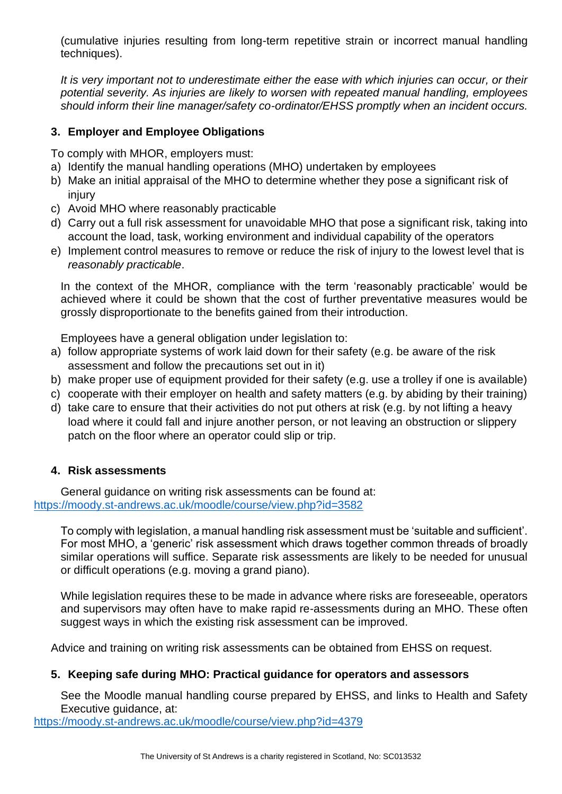(cumulative injuries resulting from long-term repetitive strain or incorrect manual handling techniques).

*It is very important not to underestimate either the ease with which injuries can occur, or their potential severity. As injuries are likely to worsen with repeated manual handling, employees should inform their line manager/safety co-ordinator/EHSS promptly when an incident occurs.*

#### **3. Employer and Employee Obligations**

To comply with MHOR, employers must:

- a) Identify the manual handling operations (MHO) undertaken by employees
- b) Make an initial appraisal of the MHO to determine whether they pose a significant risk of injury
- c) Avoid MHO where reasonably practicable
- d) Carry out a full risk assessment for unavoidable MHO that pose a significant risk, taking into account the load, task, working environment and individual capability of the operators
- e) Implement control measures to remove or reduce the risk of injury to the lowest level that is *reasonably practicable*.

In the context of the MHOR, compliance with the term 'reasonably practicable' would be achieved where it could be shown that the cost of further preventative measures would be grossly disproportionate to the benefits gained from their introduction.

Employees have a general obligation under legislation to:

- a) follow appropriate systems of work laid down for their safety (e.g. be aware of the risk assessment and follow the precautions set out in it)
- b) make proper use of equipment provided for their safety (e.g. use a trolley if one is available)
- c) cooperate with their employer on health and safety matters (e.g. by abiding by their training)
- d) take care to ensure that their activities do not put others at risk (e.g. by not lifting a heavy load where it could fall and injure another person, or not leaving an obstruction or slippery patch on the floor where an operator could slip or trip.

#### **4. Risk assessments**

General guidance on writing risk assessments can be found at: <https://moody.st-andrews.ac.uk/moodle/course/view.php?id=3582>

To comply with legislation, a manual handling risk assessment must be 'suitable and sufficient'. For most MHO, a 'generic' risk assessment which draws together common threads of broadly similar operations will suffice. Separate risk assessments are likely to be needed for unusual or difficult operations (e.g. moving a grand piano).

While legislation requires these to be made in advance where risks are foreseeable, operators and supervisors may often have to make rapid re-assessments during an MHO. These often suggest ways in which the existing risk assessment can be improved.

Advice and training on writing risk assessments can be obtained from EHSS on request.

# **5. Keeping safe during MHO: Practical guidance for operators and assessors**

See the Moodle manual handling course prepared by EHSS, and links to Health and Safety Executive guidance, at:

<https://moody.st-andrews.ac.uk/moodle/course/view.php?id=4379>